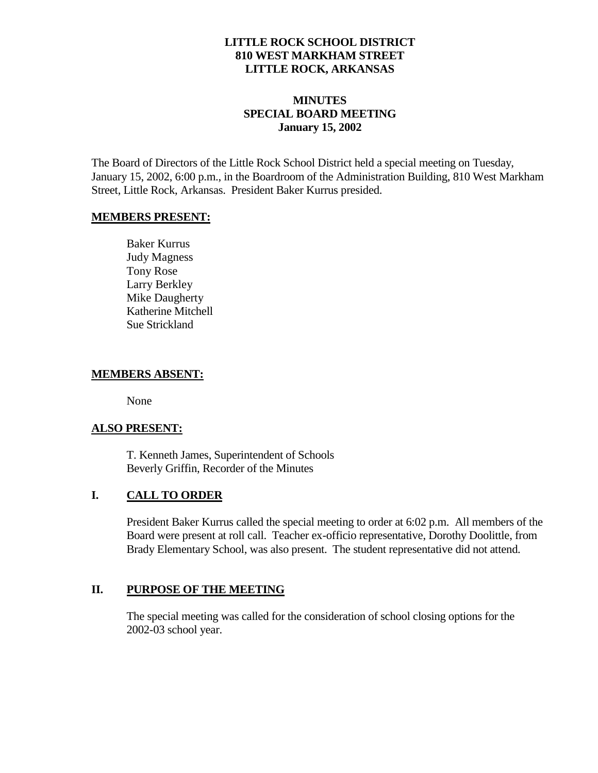### **LITTLE ROCK SCHOOL DISTRICT 810 WEST MARKHAM STREET LITTLE ROCK, ARKANSAS**

### **MINUTES SPECIAL BOARD MEETING January 15, 2002**

The Board of Directors of the Little Rock School District held a special meeting on Tuesday, January 15, 2002, 6:00 p.m., in the Boardroom of the Administration Building, 810 West Markham Street, Little Rock, Arkansas. President Baker Kurrus presided.

#### **MEMBERS PRESENT:**

Baker Kurrus Judy Magness Tony Rose Larry Berkley Mike Daugherty Katherine Mitchell Sue Strickland

### **MEMBERS ABSENT:**

None

### **ALSO PRESENT:**

T. Kenneth James, Superintendent of Schools Beverly Griffin, Recorder of the Minutes

# **I. CALL TO ORDER**

President Baker Kurrus called the special meeting to order at 6:02 p.m. All members of the Board were present at roll call. Teacher ex-officio representative, Dorothy Doolittle, from Brady Elementary School, was also present. The student representative did not attend.

### **II. PURPOSE OF THE MEETING**

The special meeting was called for the consideration of school closing options for the 2002-03 school year.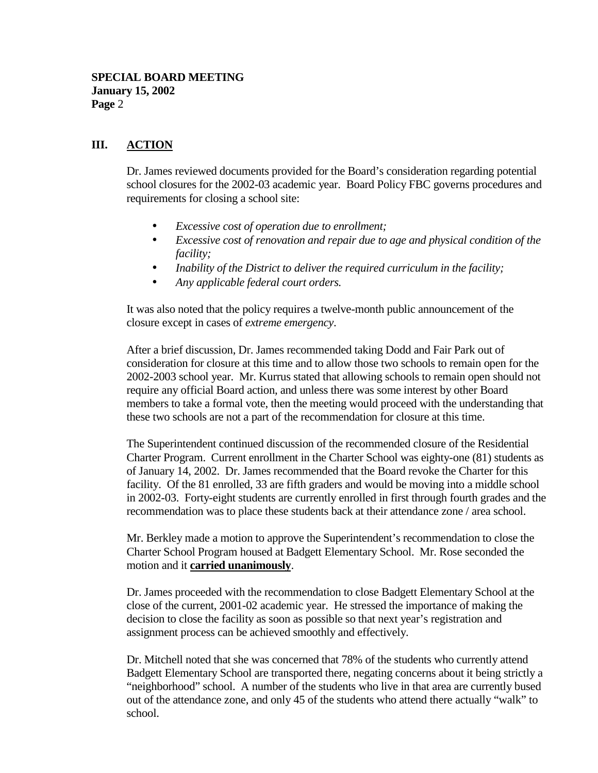## **III. ACTION**

Dr. James reviewed documents provided for the Board's consideration regarding potential school closures for the 2002-03 academic year. Board Policy FBC governs procedures and requirements for closing a school site:

- *Excessive cost of operation due to enrollment;*
- *Excessive cost of renovation and repair due to age and physical condition of the facility;*
- *Inability of the District to deliver the required curriculum in the facility;*
- *Any applicable federal court orders.*

It was also noted that the policy requires a twelve-month public announcement of the closure except in cases of *extreme emergency*.

After a brief discussion, Dr. James recommended taking Dodd and Fair Park out of consideration for closure at this time and to allow those two schools to remain open for the 2002-2003 school year. Mr. Kurrus stated that allowing schools to remain open should not require any official Board action, and unless there was some interest by other Board members to take a formal vote, then the meeting would proceed with the understanding that these two schools are not a part of the recommendation for closure at this time.

The Superintendent continued discussion of the recommended closure of the Residential Charter Program. Current enrollment in the Charter School was eighty-one (81) students as of January 14, 2002. Dr. James recommended that the Board revoke the Charter for this facility. Of the 81 enrolled, 33 are fifth graders and would be moving into a middle school in 2002-03. Forty-eight students are currently enrolled in first through fourth grades and the recommendation was to place these students back at their attendance zone / area school.

Mr. Berkley made a motion to approve the Superintendent's recommendation to close the Charter School Program housed at Badgett Elementary School. Mr. Rose seconded the motion and it **carried unanimously**.

Dr. James proceeded with the recommendation to close Badgett Elementary School at the close of the current, 2001-02 academic year. He stressed the importance of making the decision to close the facility as soon as possible so that next year's registration and assignment process can be achieved smoothly and effectively.

Dr. Mitchell noted that she was concerned that 78% of the students who currently attend Badgett Elementary School are transported there, negating concerns about it being strictly a "neighborhood" school. A number of the students who live in that area are currently bused out of the attendance zone, and only 45 of the students who attend there actually "walk" to school.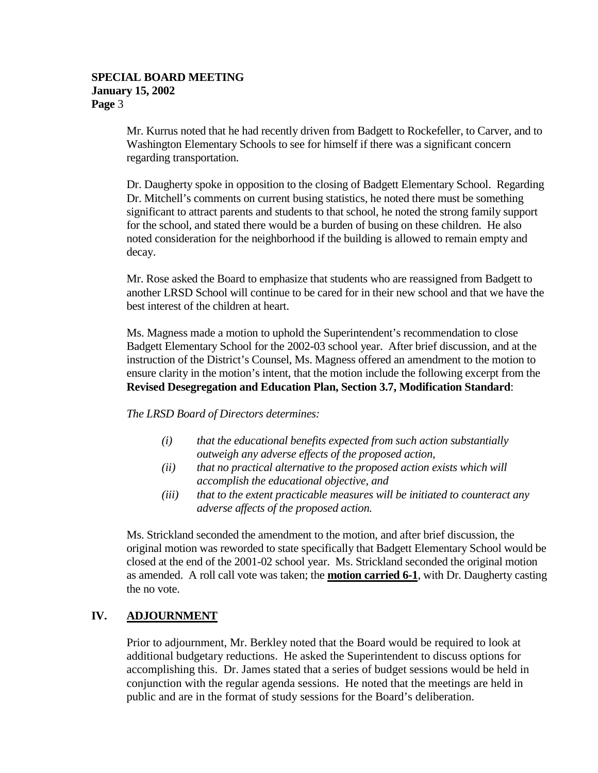#### **SPECIAL BOARD MEETING January 15, 2002 Page** 3

Mr. Kurrus noted that he had recently driven from Badgett to Rockefeller, to Carver, and to Washington Elementary Schools to see for himself if there was a significant concern regarding transportation.

Dr. Daugherty spoke in opposition to the closing of Badgett Elementary School. Regarding Dr. Mitchell's comments on current busing statistics, he noted there must be something significant to attract parents and students to that school, he noted the strong family support for the school, and stated there would be a burden of busing on these children. He also noted consideration for the neighborhood if the building is allowed to remain empty and decay.

Mr. Rose asked the Board to emphasize that students who are reassigned from Badgett to another LRSD School will continue to be cared for in their new school and that we have the best interest of the children at heart.

Ms. Magness made a motion to uphold the Superintendent's recommendation to close Badgett Elementary School for the 2002-03 school year. After brief discussion, and at the instruction of the District's Counsel, Ms. Magness offered an amendment to the motion to ensure clarity in the motion's intent, that the motion include the following excerpt from the **Revised Desegregation and Education Plan, Section 3.7, Modification Standard**:

*The LRSD Board of Directors determines:*

- *(i) that the educational benefits expected from such action substantially outweigh any adverse effects of the proposed action,*
- *(ii) that no practical alternative to the proposed action exists which will accomplish the educational objective, and*
- *(iii) that to the extent practicable measures will be initiated to counteract any adverse affects of the proposed action.*

Ms. Strickland seconded the amendment to the motion, and after brief discussion, the original motion was reworded to state specifically that Badgett Elementary School would be closed at the end of the 2001-02 school year. Ms. Strickland seconded the original motion as amended. A roll call vote was taken; the **motion carried 6-1**, with Dr. Daugherty casting the no vote.

### **IV. ADJOURNMENT**

Prior to adjournment, Mr. Berkley noted that the Board would be required to look at additional budgetary reductions. He asked the Superintendent to discuss options for accomplishing this. Dr. James stated that a series of budget sessions would be held in conjunction with the regular agenda sessions. He noted that the meetings are held in public and are in the format of study sessions for the Board's deliberation.